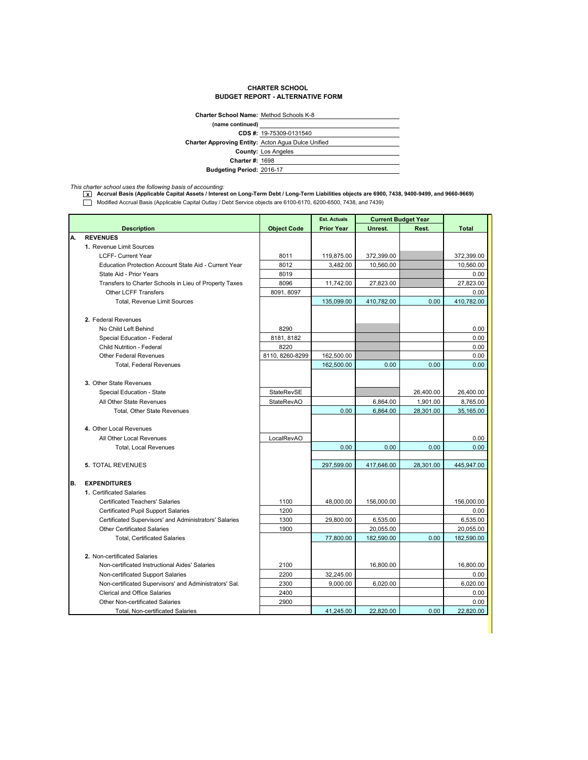## **CHARTER SCHOOL BUDGET REPORT - ALTERNATIVE FORM**

| Charter School Name: Method Schools K-8                   |                            |
|-----------------------------------------------------------|----------------------------|
| (name continued)                                          |                            |
|                                                           | CDS #: 19-75309-0131540    |
| <b>Charter Approving Entity: Acton Agua Dulce Unified</b> |                            |
|                                                           | <b>County: Los Angeles</b> |
| <b>Charter #: 1698</b>                                    |                            |
| <b>Budgeting Period: 2016-17</b>                          |                            |
|                                                           |                            |

*This charter school uses the following basis of accounting:* **x Accrual Basis (Applicable Capital Assets / Interest on Long-Term Debt / Long-Term Liabilities objects are 6900, 7438, 9400-9499, and 9660-9669)** Modified Accrual Basis (Applicable Capital Outlay / Debt Service objects are 6100-6170, 6200-6500, 7438, and 7439)

|    |                                                        |                    | <b>Est. Actuals</b> | <b>Current Budget Year</b> |           |              |
|----|--------------------------------------------------------|--------------------|---------------------|----------------------------|-----------|--------------|
|    | <b>Description</b>                                     | <b>Object Code</b> | <b>Prior Year</b>   | Unrest.                    | Rest.     | <b>Total</b> |
| А. | <b>REVENUES</b>                                        |                    |                     |                            |           |              |
|    | 1. Revenue Limit Sources                               |                    |                     |                            |           |              |
|    | <b>LCFF- Current Year</b>                              | 8011               | 119,875.00          | 372,399.00                 |           | 372,399.00   |
|    | Education Protection Account State Aid - Current Year  | 8012               | 3,482.00            | 10,560.00                  |           | 10,560.00    |
|    | State Aid - Prior Years                                | 8019               |                     |                            |           | 0.00         |
|    | Transfers to Charter Schools in Lieu of Property Taxes | 8096               | 11,742.00           | 27,823.00                  |           | 27,823.00    |
|    | <b>Other LCFF Transfers</b>                            | 8091, 8097         |                     |                            |           | 0.00         |
|    | <b>Total, Revenue Limit Sources</b>                    |                    | 135,099.00          | 410,782.00                 | 0.00      | 410,782.00   |
|    | 2. Federal Revenues                                    |                    |                     |                            |           |              |
|    | No Child Left Behind                                   | 8290               |                     |                            |           | 0.00         |
|    | Special Education - Federal                            | 8181, 8182         |                     |                            |           | 0.00         |
|    | Child Nutrition - Federal                              | 8220               |                     |                            |           | 0.00         |
|    | <b>Other Federal Revenues</b>                          | 8110, 8260-8299    | 162,500.00          |                            |           | 0.00         |
|    | <b>Total, Federal Revenues</b>                         |                    | 162,500.00          | 0.00                       | 0.00      | 0.00         |
|    |                                                        |                    |                     |                            |           |              |
|    | 3. Other State Revenues                                |                    |                     |                            |           |              |
|    | Special Education - State                              | StateRevSE         |                     |                            | 26,400.00 | 26,400.00    |
|    | All Other State Revenues                               | <b>StateRevAO</b>  |                     | 6,864.00                   | 1,901.00  | 8,765.00     |
|    | <b>Total. Other State Revenues</b>                     |                    | 0.00                | 6,864.00                   | 28.301.00 | 35.165.00    |
|    |                                                        |                    |                     |                            |           |              |
|    | 4. Other Local Revenues                                |                    |                     |                            |           |              |
|    | All Other Local Revenues                               | LocalRevAO         |                     |                            |           | 0.00         |
|    | <b>Total, Local Revenues</b>                           |                    | 0.00                | 0.00                       | 0.00      | 0.00         |
|    |                                                        |                    |                     |                            |           |              |
|    | <b>5. TOTAL REVENUES</b>                               |                    | 297.599.00          | 417.646.00                 | 28.301.00 | 445,947.00   |
|    |                                                        |                    |                     |                            |           |              |
| В. | <b>EXPENDITURES</b>                                    |                    |                     |                            |           |              |
|    | 1. Certificated Salaries                               |                    |                     |                            |           |              |
|    | <b>Certificated Teachers' Salaries</b>                 | 1100               | 48,000.00           | 156,000.00                 |           | 156,000.00   |
|    | <b>Certificated Pupil Support Salaries</b>             | 1200               |                     |                            |           | 0.00         |
|    | Certificated Supervisors' and Administrators' Salaries | 1300               | 29.800.00           | 6,535.00                   |           | 6,535.00     |
|    | <b>Other Certificated Salaries</b>                     | 1900               |                     | 20,055.00                  |           | 20,055.00    |
|    | <b>Total, Certificated Salaries</b>                    |                    | 77,800.00           | 182,590.00                 | 0.00      | 182,590.00   |
|    |                                                        |                    |                     |                            |           |              |
|    | 2. Non-certificated Salaries                           |                    |                     |                            |           |              |
|    | Non-certificated Instructional Aides' Salaries         | 2100               |                     | 16,800.00                  |           | 16,800.00    |
|    | Non-certificated Support Salaries                      | 2200               | 32,245.00           |                            |           | 0.00         |
|    | Non-certificated Supervisors' and Administrators' Sal. | 2300               | 9,000.00            | 6,020.00                   |           | 6,020.00     |
|    | <b>Clerical and Office Salaries</b>                    | 2400               |                     |                            |           | 0.00         |
|    | <b>Other Non-certificated Salaries</b>                 | 2900               |                     |                            |           | 0.00         |
|    | Total, Non-certificated Salaries                       |                    | 41,245.00           | 22,820.00                  | 0.00      | 22,820.00    |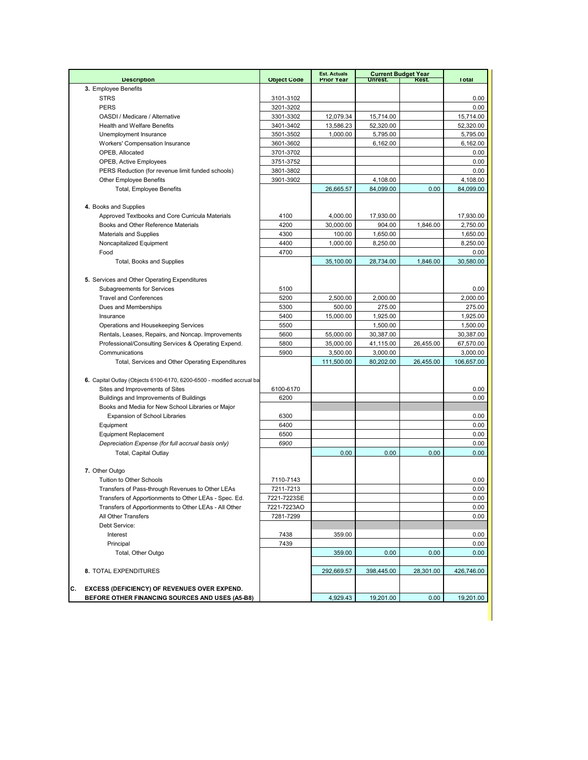|                                                                                                                |                    | <b>Est. Actuals</b> |                    | <b>Current Budget Year</b> |                       |
|----------------------------------------------------------------------------------------------------------------|--------------------|---------------------|--------------------|----------------------------|-----------------------|
| <b>Description</b>                                                                                             | <b>Object Code</b> | <b>Prior Year</b>   | Unrest.            | Rest.                      | <b>Total</b>          |
| 3. Employee Benefits                                                                                           |                    |                     |                    |                            |                       |
| <b>STRS</b><br><b>PERS</b>                                                                                     | 3101-3102          |                     |                    |                            | 0.00<br>0.00          |
|                                                                                                                | 3201-3202          |                     |                    |                            |                       |
| OASDI / Medicare / Alternative<br><b>Health and Welfare Benefits</b>                                           | 3301-3302          | 12,079.34           | 15,714.00          |                            | 15,714.00             |
|                                                                                                                | 3401-3402          | 13,586.23           | 52,320.00          |                            | 52,320.00             |
| Unemployment Insurance                                                                                         | 3501-3502          | 1,000.00            | 5,795.00           |                            | 5,795.00              |
| Workers' Compensation Insurance                                                                                | 3601-3602          |                     | 6,162.00           |                            | 6,162.00              |
| OPEB, Allocated                                                                                                | 3701-3702          |                     |                    |                            | 0.00                  |
| OPEB, Active Employees                                                                                         | 3751-3752          |                     |                    |                            | 0.00                  |
| PERS Reduction (for revenue limit funded schools)                                                              | 3801-3802          |                     |                    |                            | 0.00                  |
| <b>Other Employee Benefits</b><br><b>Total, Employee Benefits</b>                                              | 3901-3902          |                     | 4,108.00           |                            | 4,108.00<br>84,099.00 |
|                                                                                                                |                    | 26,665.57           | 84,099.00          | 0.00                       |                       |
| 4. Books and Supplies                                                                                          |                    |                     |                    |                            |                       |
| Approved Textbooks and Core Curricula Materials                                                                | 4100               | 4,000.00            | 17,930.00          |                            | 17,930.00             |
| Books and Other Reference Materials                                                                            | 4200               | 30,000.00           | 904.00             | 1,846.00                   | 2,750.00              |
| <b>Materials and Supplies</b>                                                                                  | 4300               | 100.00              | 1,650.00           |                            | 1,650.00              |
| Noncapitalized Equipment                                                                                       | 4400               | 1,000.00            | 8,250.00           |                            | 8,250.00              |
| Food                                                                                                           | 4700               |                     |                    |                            | 0.00                  |
|                                                                                                                |                    | 35,100.00           | 28,734.00          | 1,846.00                   | 30,580.00             |
| Total, Books and Supplies                                                                                      |                    |                     |                    |                            |                       |
|                                                                                                                |                    |                     |                    |                            |                       |
| 5. Services and Other Operating Expenditures<br><b>Subagreements for Services</b>                              |                    |                     |                    |                            |                       |
|                                                                                                                | 5100               | 2,500.00            |                    |                            | 0.00                  |
| <b>Travel and Conferences</b>                                                                                  | 5200<br>5300       | 500.00              | 2,000.00<br>275.00 |                            | 2,000.00<br>275.00    |
| Dues and Memberships<br>Insurance                                                                              | 5400               | 15,000.00           | 1,925.00           |                            | 1,925.00              |
| Operations and Housekeeping Services                                                                           | 5500               |                     | 1,500.00           |                            | 1,500.00              |
|                                                                                                                | 5600               |                     |                    |                            |                       |
| Rentals, Leases, Repairs, and Noncap. Improvements                                                             |                    | 55,000.00           | 30,387.00          |                            | 30,387.00             |
| Professional/Consulting Services & Operating Expend.                                                           | 5800               | 35,000.00           | 41,115.00          | 26,455.00                  | 67,570.00             |
| Communications                                                                                                 | 5900               | 3,500.00            | 3,000.00           |                            | 3,000.00              |
| Total, Services and Other Operating Expenditures                                                               |                    | 111,500.00          | 80,202.00          | 26,455.00                  | 106,657.00            |
| 6. Capital Outlay (Objects 6100-6170, 6200-6500 - modified accrual ba                                          |                    |                     |                    |                            |                       |
| Sites and Improvements of Sites                                                                                | 6100-6170          |                     |                    |                            | 0.00                  |
| Buildings and Improvements of Buildings                                                                        | 6200               |                     |                    |                            | 0.00                  |
| Books and Media for New School Libraries or Major                                                              |                    |                     |                    |                            |                       |
| <b>Expansion of School Libraries</b>                                                                           | 6300               |                     |                    |                            | 0.00                  |
| Equipment                                                                                                      | 6400               |                     |                    |                            | 0.00                  |
| <b>Equipment Replacement</b>                                                                                   | 6500               |                     |                    |                            | 0.00                  |
| Depreciation Expense (for full accrual basis only)                                                             | 6900               |                     |                    |                            | 0.00                  |
| Total, Capital Outlay                                                                                          |                    | 0.00                | 0.00               | 0.00                       | 0.00                  |
|                                                                                                                |                    |                     |                    |                            |                       |
| 7. Other Outgo                                                                                                 |                    |                     |                    |                            |                       |
| Tuition to Other Schools                                                                                       | 7110-7143          |                     |                    |                            | 0.00                  |
| Transfers of Pass-through Revenues to Other LEAs                                                               | 7211-7213          |                     |                    |                            | 0.00                  |
|                                                                                                                | 7221-7223SE        |                     |                    |                            | 0.00                  |
| Transfers of Apportionments to Other LEAs - Spec. Ed.<br>Transfers of Apportionments to Other LEAs - All Other | 7221-7223AO        |                     |                    |                            | 0.00                  |
| All Other Transfers                                                                                            | 7281-7299          |                     |                    |                            | 0.00                  |
| Debt Service:                                                                                                  |                    |                     |                    |                            |                       |
| Interest                                                                                                       | 7438               | 359.00              |                    |                            | 0.00                  |
| Principal                                                                                                      | 7439               |                     |                    |                            | 0.00                  |
| Total, Other Outgo                                                                                             |                    | 359.00              | 0.00               | 0.00                       |                       |
|                                                                                                                |                    |                     |                    |                            | 0.00                  |
| 8. TOTAL EXPENDITURES                                                                                          |                    | 292,669.57          | 398,445.00         | 28,301.00                  | 426,746.00            |
|                                                                                                                |                    |                     |                    |                            |                       |
| С.<br><b>EXCESS (DEFICIENCY) OF REVENUES OVER EXPEND.</b>                                                      |                    |                     |                    |                            |                       |
| BEFORE OTHER FINANCING SOURCES AND USES (A5-B8)                                                                |                    | 4,929.43            | 19,201.00          | 0.00                       | 19,201.00             |
|                                                                                                                |                    |                     |                    |                            |                       |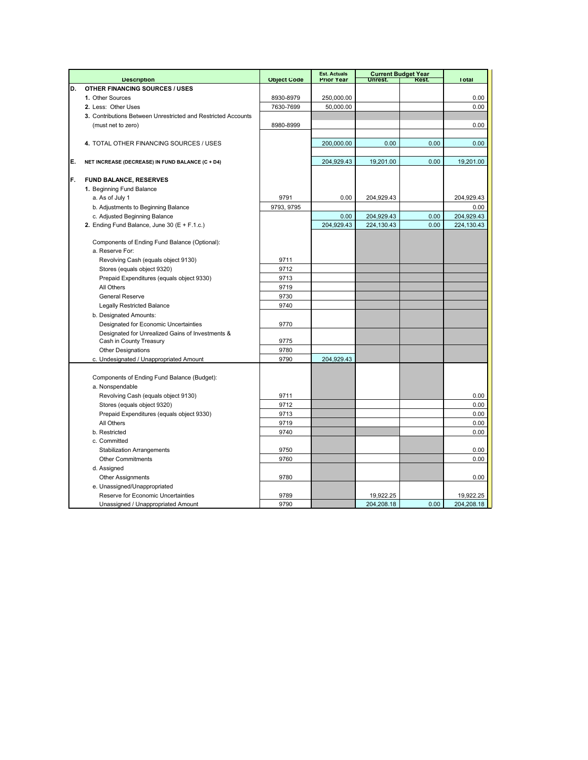|    |                                                               |                    | <b>Est. Actuals</b> | <b>Current Budget Year</b> |       |              |
|----|---------------------------------------------------------------|--------------------|---------------------|----------------------------|-------|--------------|
|    | <b>Description</b>                                            | <b>Object Code</b> | <b>Prior Year</b>   | Unrest.                    | Rest. | <b>Total</b> |
| D. | <b>OTHER FINANCING SOURCES / USES</b>                         |                    |                     |                            |       |              |
|    | 1. Other Sources                                              | 8930-8979          | 250,000.00          |                            |       | 0.00         |
|    | 2. Less: Other Uses                                           | 7630-7699          | 50,000.00           |                            |       | 0.00         |
|    | 3. Contributions Between Unrestricted and Restricted Accounts |                    |                     |                            |       |              |
|    | (must net to zero)                                            | 8980-8999          |                     |                            |       | 0.00         |
|    |                                                               |                    |                     |                            |       |              |
|    | 4. TOTAL OTHER FINANCING SOURCES / USES                       |                    | 200,000.00          | 0.00                       | 0.00  | 0.00         |
|    |                                                               |                    |                     |                            |       |              |
| E. | NET INCREASE (DECREASE) IN FUND BALANCE (C + D4)              |                    | 204,929.43          | 19,201.00                  | 0.00  | 19,201.00    |
|    |                                                               |                    |                     |                            |       |              |
| F. | FUND BALANCE, RESERVES                                        |                    |                     |                            |       |              |
|    | 1. Beginning Fund Balance                                     |                    |                     |                            |       |              |
|    | a. As of July 1                                               | 9791               | 0.00                | 204,929.43                 |       | 204,929.43   |
|    | b. Adjustments to Beginning Balance                           | 9793, 9795         |                     |                            |       | 0.00         |
|    | c. Adjusted Beginning Balance                                 |                    | 0.00                | 204,929.43                 | 0.00  | 204,929.43   |
|    | 2. Ending Fund Balance, June 30 $(E + F.1.c.)$                |                    | 204,929.43          | 224,130.43                 | 0.00  | 224,130.43   |
|    |                                                               |                    |                     |                            |       |              |
|    | Components of Ending Fund Balance (Optional):                 |                    |                     |                            |       |              |
|    | a. Reserve For:                                               |                    |                     |                            |       |              |
|    | Revolving Cash (equals object 9130)                           | 9711               |                     |                            |       |              |
|    | Stores (equals object 9320)                                   | 9712               |                     |                            |       |              |
|    | Prepaid Expenditures (equals object 9330)                     | 9713               |                     |                            |       |              |
|    | All Others                                                    | 9719               |                     |                            |       |              |
|    | <b>General Reserve</b>                                        | 9730               |                     |                            |       |              |
|    | <b>Legally Restricted Balance</b>                             | 9740               |                     |                            |       |              |
|    | b. Designated Amounts:                                        |                    |                     |                            |       |              |
|    | Designated for Economic Uncertainties                         | 9770               |                     |                            |       |              |
|    | Designated for Unrealized Gains of Investments &              |                    |                     |                            |       |              |
|    | Cash in County Treasury                                       | 9775               |                     |                            |       |              |
|    | <b>Other Designations</b>                                     | 9780               |                     |                            |       |              |
|    | c. Undesignated / Unappropriated Amount                       | 9790               | 204,929.43          |                            |       |              |
|    |                                                               |                    |                     |                            |       |              |
|    | Components of Ending Fund Balance (Budget):                   |                    |                     |                            |       |              |
|    | a. Nonspendable                                               |                    |                     |                            |       |              |
|    | Revolving Cash (equals object 9130)                           | 9711               |                     |                            |       | 0.00         |
|    | Stores (equals object 9320)                                   | 9712               |                     |                            |       | 0.00         |
|    | Prepaid Expenditures (equals object 9330)                     | 9713               |                     |                            |       | 0.00         |
|    | All Others                                                    | 9719               |                     |                            |       | 0.00         |
|    | b. Restricted                                                 | 9740               |                     |                            |       | 0.00         |
|    | c. Committed                                                  |                    |                     |                            |       |              |
|    | <b>Stabilization Arrangements</b>                             | 9750               |                     |                            |       | 0.00         |
|    | <b>Other Commitments</b>                                      | 9760               |                     |                            |       | 0.00         |
|    | d. Assigned                                                   |                    |                     |                            |       |              |
|    | <b>Other Assignments</b>                                      | 9780               |                     |                            |       | 0.00         |
|    | e. Unassigned/Unappropriated                                  |                    |                     |                            |       |              |
|    | Reserve for Economic Uncertainties                            | 9789               |                     | 19,922.25                  |       | 19,922.25    |
|    | Unassigned / Unappropriated Amount                            | 9790               |                     | 204,208.18                 | 0.00  | 204,208.18   |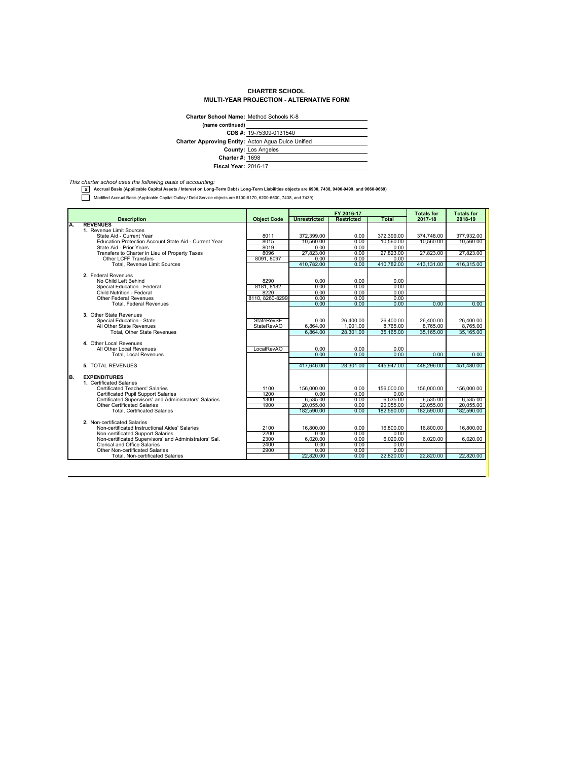## **CHARTER SCHOOL MULTI-YEAR PROJECTION - ALTERNATIVE FORM**

| <b>Charter School Name: Method Schools K-8</b>            |                            |
|-----------------------------------------------------------|----------------------------|
| (name continued)                                          |                            |
|                                                           | CDS #: 19-75309-0131540    |
| <b>Charter Approving Entity: Acton Agua Dulce Unified</b> |                            |
|                                                           | <b>County: Los Angeles</b> |
| <b>Charter #: 1698</b>                                    |                            |
| <b>Fiscal Year: 2016-17</b>                               |                            |

*This charter school uses the following basis of accounting:* **x Accrual Basis (Applicable Capital Assets / Interest on Long-Term Debt / Long-Term Liabilities objects are 6900, 7438, 9400-9499, and 9660-9669)**

Modified Accrual Basis (Applicable Capital Outlay / Debt Service objects are 6100-6170, 6200-6500, 7438, and 7439)

| <b>Description</b><br><b>Object Code</b><br><b>REVENUES</b><br>Α.<br>1. Revenue Limit Sources<br>State Aid - Current Year<br>8011<br>Education Protection Account State Aid - Current Year<br>8015<br>8019<br>State Aid - Prior Years<br>Transfers to Charter in Lieu of Property Taxes<br>8096<br><b>Other LCFF Transfers</b><br>8091, 8097<br>Total, Revenue Limit Sources<br>2. Federal Revenues<br>No Child Left Behind<br>8290<br>8181, 8182<br>Special Education - Federal<br>8220<br>Child Nutrition - Federal<br>8110, 8260-8299<br><b>Other Federal Revenues</b><br><b>Total, Federal Revenues</b><br>3. Other State Revenues<br><b>StateRevSE</b><br>Special Education - State<br><b>StateRevAO</b><br>All Other State Revenues<br><b>Total, Other State Revenues</b><br>4. Other Local Revenues<br>All Other Local Revenues<br>LocalRevAO<br><b>Total, Local Revenues</b><br>5. TOTAL REVENUES<br>B.<br><b>EXPENDITURES</b><br>1. Certificated Salaries<br>Certificated Teachers' Salaries<br>1100 | <b>Unrestricted</b><br>372.399.00<br>10.560.00<br>0.00<br>27.823.00<br>0.00<br>410,782.00<br>0.00<br>0.00<br>0.00<br>0.00<br>0.00<br>0.00<br>6.864.00<br>6.864.00<br>0.00<br>0.00 | <b>Restricted</b><br>0.00<br>0.00<br>0.00<br>0.00<br>0.00<br>0.00<br>0.00<br>0.00<br>0.00<br>0.00<br>0.00<br>26,400.00<br>1.901.00<br>28,301.00<br>0.00 | Total<br>372.399.00<br>10.560.00<br>0.00<br>27.823.00<br>0.00<br>410,782.00<br>0.00<br>0.00<br>0.00<br>0.00<br>0.00<br>26,400.00<br>8.765.00<br>35.165.00<br>0.00 | 2017-18<br>374.748.00<br>10,560.00<br>27,823,00<br>413,131.00<br>0.00<br>26,400.00<br>8.765.00<br>35.165.00 | 2018-19<br>377.932.00<br>10.560.00<br>27.823.00<br>416,315.00<br>0.00<br>26,400.00<br>8.765.00<br>35.165.00 |
|---------------------------------------------------------------------------------------------------------------------------------------------------------------------------------------------------------------------------------------------------------------------------------------------------------------------------------------------------------------------------------------------------------------------------------------------------------------------------------------------------------------------------------------------------------------------------------------------------------------------------------------------------------------------------------------------------------------------------------------------------------------------------------------------------------------------------------------------------------------------------------------------------------------------------------------------------------------------------------------------------------------|-----------------------------------------------------------------------------------------------------------------------------------------------------------------------------------|---------------------------------------------------------------------------------------------------------------------------------------------------------|-------------------------------------------------------------------------------------------------------------------------------------------------------------------|-------------------------------------------------------------------------------------------------------------|-------------------------------------------------------------------------------------------------------------|
|                                                                                                                                                                                                                                                                                                                                                                                                                                                                                                                                                                                                                                                                                                                                                                                                                                                                                                                                                                                                               |                                                                                                                                                                                   |                                                                                                                                                         |                                                                                                                                                                   |                                                                                                             |                                                                                                             |
|                                                                                                                                                                                                                                                                                                                                                                                                                                                                                                                                                                                                                                                                                                                                                                                                                                                                                                                                                                                                               |                                                                                                                                                                                   |                                                                                                                                                         |                                                                                                                                                                   |                                                                                                             |                                                                                                             |
|                                                                                                                                                                                                                                                                                                                                                                                                                                                                                                                                                                                                                                                                                                                                                                                                                                                                                                                                                                                                               |                                                                                                                                                                                   |                                                                                                                                                         |                                                                                                                                                                   |                                                                                                             |                                                                                                             |
|                                                                                                                                                                                                                                                                                                                                                                                                                                                                                                                                                                                                                                                                                                                                                                                                                                                                                                                                                                                                               |                                                                                                                                                                                   |                                                                                                                                                         |                                                                                                                                                                   |                                                                                                             |                                                                                                             |
|                                                                                                                                                                                                                                                                                                                                                                                                                                                                                                                                                                                                                                                                                                                                                                                                                                                                                                                                                                                                               |                                                                                                                                                                                   |                                                                                                                                                         |                                                                                                                                                                   |                                                                                                             |                                                                                                             |
|                                                                                                                                                                                                                                                                                                                                                                                                                                                                                                                                                                                                                                                                                                                                                                                                                                                                                                                                                                                                               |                                                                                                                                                                                   |                                                                                                                                                         |                                                                                                                                                                   |                                                                                                             |                                                                                                             |
|                                                                                                                                                                                                                                                                                                                                                                                                                                                                                                                                                                                                                                                                                                                                                                                                                                                                                                                                                                                                               |                                                                                                                                                                                   |                                                                                                                                                         |                                                                                                                                                                   |                                                                                                             |                                                                                                             |
|                                                                                                                                                                                                                                                                                                                                                                                                                                                                                                                                                                                                                                                                                                                                                                                                                                                                                                                                                                                                               |                                                                                                                                                                                   |                                                                                                                                                         |                                                                                                                                                                   |                                                                                                             |                                                                                                             |
|                                                                                                                                                                                                                                                                                                                                                                                                                                                                                                                                                                                                                                                                                                                                                                                                                                                                                                                                                                                                               |                                                                                                                                                                                   |                                                                                                                                                         |                                                                                                                                                                   |                                                                                                             |                                                                                                             |
|                                                                                                                                                                                                                                                                                                                                                                                                                                                                                                                                                                                                                                                                                                                                                                                                                                                                                                                                                                                                               |                                                                                                                                                                                   |                                                                                                                                                         |                                                                                                                                                                   |                                                                                                             |                                                                                                             |
|                                                                                                                                                                                                                                                                                                                                                                                                                                                                                                                                                                                                                                                                                                                                                                                                                                                                                                                                                                                                               |                                                                                                                                                                                   |                                                                                                                                                         |                                                                                                                                                                   |                                                                                                             |                                                                                                             |
|                                                                                                                                                                                                                                                                                                                                                                                                                                                                                                                                                                                                                                                                                                                                                                                                                                                                                                                                                                                                               |                                                                                                                                                                                   |                                                                                                                                                         |                                                                                                                                                                   |                                                                                                             |                                                                                                             |
|                                                                                                                                                                                                                                                                                                                                                                                                                                                                                                                                                                                                                                                                                                                                                                                                                                                                                                                                                                                                               |                                                                                                                                                                                   |                                                                                                                                                         |                                                                                                                                                                   |                                                                                                             |                                                                                                             |
|                                                                                                                                                                                                                                                                                                                                                                                                                                                                                                                                                                                                                                                                                                                                                                                                                                                                                                                                                                                                               |                                                                                                                                                                                   |                                                                                                                                                         |                                                                                                                                                                   |                                                                                                             |                                                                                                             |
|                                                                                                                                                                                                                                                                                                                                                                                                                                                                                                                                                                                                                                                                                                                                                                                                                                                                                                                                                                                                               |                                                                                                                                                                                   |                                                                                                                                                         |                                                                                                                                                                   |                                                                                                             |                                                                                                             |
|                                                                                                                                                                                                                                                                                                                                                                                                                                                                                                                                                                                                                                                                                                                                                                                                                                                                                                                                                                                                               |                                                                                                                                                                                   |                                                                                                                                                         |                                                                                                                                                                   |                                                                                                             |                                                                                                             |
|                                                                                                                                                                                                                                                                                                                                                                                                                                                                                                                                                                                                                                                                                                                                                                                                                                                                                                                                                                                                               |                                                                                                                                                                                   |                                                                                                                                                         |                                                                                                                                                                   |                                                                                                             |                                                                                                             |
|                                                                                                                                                                                                                                                                                                                                                                                                                                                                                                                                                                                                                                                                                                                                                                                                                                                                                                                                                                                                               |                                                                                                                                                                                   |                                                                                                                                                         |                                                                                                                                                                   |                                                                                                             |                                                                                                             |
|                                                                                                                                                                                                                                                                                                                                                                                                                                                                                                                                                                                                                                                                                                                                                                                                                                                                                                                                                                                                               |                                                                                                                                                                                   |                                                                                                                                                         |                                                                                                                                                                   |                                                                                                             |                                                                                                             |
|                                                                                                                                                                                                                                                                                                                                                                                                                                                                                                                                                                                                                                                                                                                                                                                                                                                                                                                                                                                                               |                                                                                                                                                                                   |                                                                                                                                                         |                                                                                                                                                                   |                                                                                                             |                                                                                                             |
|                                                                                                                                                                                                                                                                                                                                                                                                                                                                                                                                                                                                                                                                                                                                                                                                                                                                                                                                                                                                               |                                                                                                                                                                                   |                                                                                                                                                         |                                                                                                                                                                   |                                                                                                             |                                                                                                             |
|                                                                                                                                                                                                                                                                                                                                                                                                                                                                                                                                                                                                                                                                                                                                                                                                                                                                                                                                                                                                               |                                                                                                                                                                                   |                                                                                                                                                         |                                                                                                                                                                   |                                                                                                             |                                                                                                             |
|                                                                                                                                                                                                                                                                                                                                                                                                                                                                                                                                                                                                                                                                                                                                                                                                                                                                                                                                                                                                               |                                                                                                                                                                                   |                                                                                                                                                         |                                                                                                                                                                   |                                                                                                             |                                                                                                             |
|                                                                                                                                                                                                                                                                                                                                                                                                                                                                                                                                                                                                                                                                                                                                                                                                                                                                                                                                                                                                               |                                                                                                                                                                                   | 0.00                                                                                                                                                    | 0.00                                                                                                                                                              | 0.00                                                                                                        | 0.00                                                                                                        |
|                                                                                                                                                                                                                                                                                                                                                                                                                                                                                                                                                                                                                                                                                                                                                                                                                                                                                                                                                                                                               |                                                                                                                                                                                   |                                                                                                                                                         |                                                                                                                                                                   |                                                                                                             |                                                                                                             |
|                                                                                                                                                                                                                                                                                                                                                                                                                                                                                                                                                                                                                                                                                                                                                                                                                                                                                                                                                                                                               | 417.646.00                                                                                                                                                                        | 28.301.00                                                                                                                                               | 445.947.00                                                                                                                                                        | 448.296.00                                                                                                  | 451.480.00                                                                                                  |
|                                                                                                                                                                                                                                                                                                                                                                                                                                                                                                                                                                                                                                                                                                                                                                                                                                                                                                                                                                                                               |                                                                                                                                                                                   |                                                                                                                                                         |                                                                                                                                                                   |                                                                                                             |                                                                                                             |
|                                                                                                                                                                                                                                                                                                                                                                                                                                                                                                                                                                                                                                                                                                                                                                                                                                                                                                                                                                                                               |                                                                                                                                                                                   |                                                                                                                                                         |                                                                                                                                                                   |                                                                                                             |                                                                                                             |
|                                                                                                                                                                                                                                                                                                                                                                                                                                                                                                                                                                                                                                                                                                                                                                                                                                                                                                                                                                                                               | 156.000.00                                                                                                                                                                        | 0.00                                                                                                                                                    | 156.000.00                                                                                                                                                        | 156,000.00                                                                                                  | 156,000,00                                                                                                  |
| 1200<br><b>Certificated Pupil Support Salaries</b>                                                                                                                                                                                                                                                                                                                                                                                                                                                                                                                                                                                                                                                                                                                                                                                                                                                                                                                                                            | 0.00                                                                                                                                                                              | 0.00                                                                                                                                                    | 0.00                                                                                                                                                              |                                                                                                             |                                                                                                             |
| 1300<br>Certificated Supervisors' and Administrators' Salaries                                                                                                                                                                                                                                                                                                                                                                                                                                                                                                                                                                                                                                                                                                                                                                                                                                                                                                                                                | 6,535.00                                                                                                                                                                          | 0.00                                                                                                                                                    | 6.535.00                                                                                                                                                          | 6,535.00                                                                                                    | 6,535.00                                                                                                    |
| 1900<br><b>Other Certificated Salaries</b>                                                                                                                                                                                                                                                                                                                                                                                                                                                                                                                                                                                                                                                                                                                                                                                                                                                                                                                                                                    | 20.055.00                                                                                                                                                                         | 0.00                                                                                                                                                    | 20.055.00                                                                                                                                                         | 20.055.00                                                                                                   | 20.055.00                                                                                                   |
| <b>Total, Certificated Salaries</b>                                                                                                                                                                                                                                                                                                                                                                                                                                                                                                                                                                                                                                                                                                                                                                                                                                                                                                                                                                           | 182.590.00                                                                                                                                                                        | 0.00                                                                                                                                                    | 182,590.00                                                                                                                                                        | 182,590.00                                                                                                  | 182,590,00                                                                                                  |
|                                                                                                                                                                                                                                                                                                                                                                                                                                                                                                                                                                                                                                                                                                                                                                                                                                                                                                                                                                                                               |                                                                                                                                                                                   |                                                                                                                                                         |                                                                                                                                                                   |                                                                                                             |                                                                                                             |
| 2. Non-certificated Salaries                                                                                                                                                                                                                                                                                                                                                                                                                                                                                                                                                                                                                                                                                                                                                                                                                                                                                                                                                                                  |                                                                                                                                                                                   |                                                                                                                                                         |                                                                                                                                                                   |                                                                                                             |                                                                                                             |
| Non-certificated Instructional Aides' Salaries<br>2100                                                                                                                                                                                                                                                                                                                                                                                                                                                                                                                                                                                                                                                                                                                                                                                                                                                                                                                                                        | 16,800.00                                                                                                                                                                         | 0.00                                                                                                                                                    | 16,800.00                                                                                                                                                         | 16.800.00                                                                                                   | 16,800.00                                                                                                   |
| 2200<br>Non-certificated Support Salaries                                                                                                                                                                                                                                                                                                                                                                                                                                                                                                                                                                                                                                                                                                                                                                                                                                                                                                                                                                     | 0.00                                                                                                                                                                              | 0.00                                                                                                                                                    | 0.00                                                                                                                                                              |                                                                                                             |                                                                                                             |
| 2300<br>Non-certificated Supervisors' and Administrators' Sal.                                                                                                                                                                                                                                                                                                                                                                                                                                                                                                                                                                                                                                                                                                                                                                                                                                                                                                                                                | 6.020.00                                                                                                                                                                          | 0.00                                                                                                                                                    | 6.020.00                                                                                                                                                          | 6.020.00                                                                                                    | 6.020.00                                                                                                    |
| 2400<br><b>Clerical and Office Salaries</b>                                                                                                                                                                                                                                                                                                                                                                                                                                                                                                                                                                                                                                                                                                                                                                                                                                                                                                                                                                   | 0.00                                                                                                                                                                              | 0.00                                                                                                                                                    | 0.00                                                                                                                                                              |                                                                                                             |                                                                                                             |
| Other Non-certificated Salaries<br>2900                                                                                                                                                                                                                                                                                                                                                                                                                                                                                                                                                                                                                                                                                                                                                                                                                                                                                                                                                                       | 0.00<br>22,820.00                                                                                                                                                                 | 0.00                                                                                                                                                    | 0.00                                                                                                                                                              |                                                                                                             |                                                                                                             |
| <b>Total, Non-certificated Salaries</b>                                                                                                                                                                                                                                                                                                                                                                                                                                                                                                                                                                                                                                                                                                                                                                                                                                                                                                                                                                       |                                                                                                                                                                                   | 0.00                                                                                                                                                    | 22,820.00                                                                                                                                                         | 22.820.00                                                                                                   | 22,820.00                                                                                                   |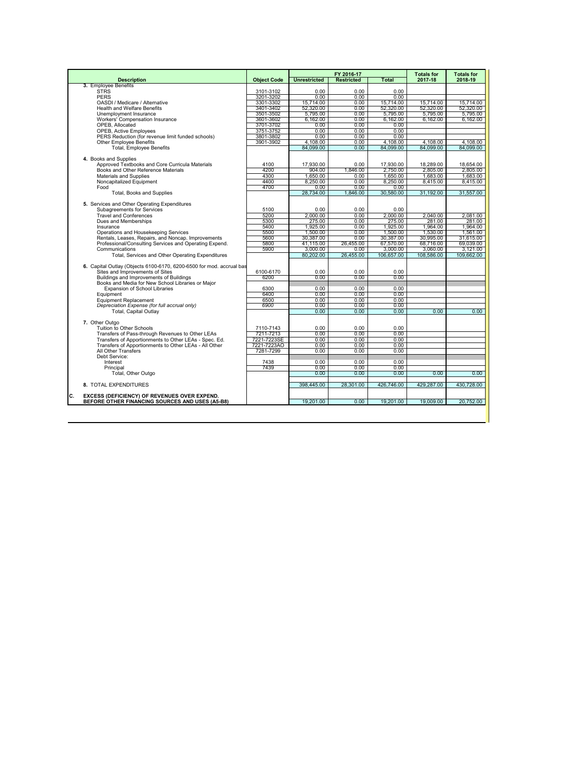|                                                                                                       |                        |                      | FY 2016-17        |                       | <b>Totals for</b>     | <b>Totals for</b>     |
|-------------------------------------------------------------------------------------------------------|------------------------|----------------------|-------------------|-----------------------|-----------------------|-----------------------|
| <b>Description</b>                                                                                    | <b>Object Code</b>     | <b>Unrestricted</b>  | <b>Restricted</b> | <b>Total</b>          | 2017-18               | 2018-19               |
| 3. Employee Benefits                                                                                  |                        |                      |                   |                       |                       |                       |
| <b>STRS</b>                                                                                           | 3101-3102              | 0.00                 | 0.00              | 0.00                  |                       |                       |
| <b>PERS</b>                                                                                           | 3201-3202              | 0.00                 | 0.00              | 0.00                  |                       |                       |
| OASDI / Medicare / Alternative<br><b>Health and Welfare Benefits</b>                                  | 3301-3302<br>3401-3402 | 15,714.00            | 0.00<br>0.00      | 15.714.00             | 15.714.00             | 15.714.00             |
| Unemployment Insurance                                                                                | 3501-3502              | 52,320.00            | 0.00              | 52,320.00<br>5.795.00 | 52,320.00<br>5.795.00 | 52,320.00<br>5.795.00 |
| Workers' Compensation Insurance                                                                       | 3601-3602              | 5,795.00<br>6.162.00 | $0.00 -$          | 6.162.00              | 6.162.00              | 6,162.00              |
| OPEB, Allocated                                                                                       | 3701-3702              | 0.00                 | 0.00              | 0.00                  |                       |                       |
| <b>OPEB, Active Employees</b>                                                                         | 3751-3752              | 0.00                 | 0.00              | 0.00                  |                       |                       |
| PERS Reduction (for revenue limit funded schools)                                                     | 3801-3802              | 0.00                 | 0.00              | 0.00                  |                       |                       |
| Other Employee Benefits                                                                               | 3901-3902              | 4.108.00             | 0.00              | 4.108.00              | 4.108.00              | 4.108.00              |
| <b>Total, Employee Benefits</b>                                                                       |                        | 84.099.00            | 0.00              | 84,099.00             | 84.099.00             | 84.099.00             |
|                                                                                                       |                        |                      |                   |                       |                       |                       |
| 4. Books and Supplies                                                                                 |                        |                      |                   |                       |                       |                       |
| Approved Textbooks and Core Curricula Materials                                                       | 4100                   | 17.930.00            | 0.00              | 17.930.00             | 18.289.00             | 18.654.00             |
| Books and Other Reference Materials                                                                   | 4200                   | 904.00               | 1.846.00          | 2,750.00              | 2.805.00              | 2.805.00              |
| Materials and Supplies                                                                                | 4300                   | 1.650.00             | $0.00 -$          | 1,650.00              | 1.683.00              | 1,683.00              |
| Noncapitalized Equipment                                                                              | 4400                   | 8.250.00             | 0.00              | 8,250.00              | 8,415.00              | 8.415.00              |
| Food                                                                                                  | 4700                   | 0.00                 | 0.00              | 0.00                  |                       |                       |
| <b>Total, Books and Supplies</b>                                                                      |                        | 28.734.00            | 1.846.00          | 30.580.00             | 31.192.00             | 31.557.00             |
|                                                                                                       |                        |                      |                   |                       |                       |                       |
| 5. Services and Other Operating Expenditures                                                          |                        |                      |                   |                       |                       |                       |
| Subagreements for Services                                                                            | 5100                   | 0.00                 | 0.00              | 0.00                  |                       |                       |
| <b>Travel and Conferences</b>                                                                         | 5200                   | 2.000.00             | 0.00              | 2.000.00              | 2.040.00              | 2.081.00              |
| Dues and Memberships                                                                                  | 5300                   | 275.00               | 0.00              | 275.00                | 281.00                | 281.00                |
| Insurance                                                                                             | 5400                   | 1.925.00             | 0.00              | 1.925.00              | 1.964.00              | 1.964.00              |
| Operations and Housekeeping Services                                                                  | 5500                   | 1,500.00             | 0.00              | 1,500.00              | 1,530.00              | 1,561.00              |
| Rentals, Leases, Repairs, and Noncap. Improvements                                                    | 5600                   | 30,387.00            | 0.00              | 30,387.00             | 30,995.00             | 31,615.00             |
| Professional/Consulting Services and Operating Expend.                                                | 5800                   | 41,115.00            | 26,455.00         | 67.570.00             | 68.716.00             | 69,039.00             |
| Communications                                                                                        | 5900                   | 3.000.00             | 0.00              | 3.000.00              | 3.060.00              | 3.121.00              |
| Total, Services and Other Operating Expenditures                                                      |                        | 80.202.00            | 26.455.00         | 106.657.00            | 108.586.00            | 109.662.00            |
|                                                                                                       |                        |                      |                   |                       |                       |                       |
| 6. Capital Outlay (Objects 6100-6170, 6200-6500 for mod. accrual bas                                  |                        |                      |                   |                       |                       |                       |
| Sites and Improvements of Sites                                                                       | 6100-6170              | 0.00                 | 0.00              | 0.00                  |                       |                       |
| Buildings and Improvements of Buildings                                                               | 6200                   | 0.00                 | 0.00              | 0.00                  |                       |                       |
| Books and Media for New School Libraries or Maior                                                     | 6300                   | 0.00                 | 0.00              | 0.00                  |                       |                       |
| Expansion of School Libraries<br>Equipment                                                            | 6400                   | 0.00                 | 0.00              | 0.00                  |                       |                       |
| Equipment Replacement                                                                                 | 6500                   | 0.00                 | 0.00              | 0.00                  |                       |                       |
| Depreciation Expense (for full accrual only)                                                          | 6900                   | 0.00                 | 0.00              | 0.00                  |                       |                       |
| <b>Total, Capital Outlav</b>                                                                          |                        | 0.00                 | 0.00              | $0.00 -$              | 0.00                  | 0.00                  |
|                                                                                                       |                        |                      |                   |                       |                       |                       |
| 7. Other Outgo                                                                                        |                        |                      |                   |                       |                       |                       |
| Tuition to Other Schools                                                                              | 7110-7143              | 0.00                 | 0.00              | 0.00                  |                       |                       |
| Transfers of Pass-through Revenues to Other LEAs                                                      | 7211-7213              | 0.00                 | 0.00              | 0.00                  |                       |                       |
| Transfers of Apportionments to Other LEAs - Spec. Ed.                                                 | 7221-7223SE            | 0.00                 | 0.00              | 0.00                  |                       |                       |
| Transfers of Apportionments to Other LEAs - All Other                                                 | 7221-7223AO            | 0.00                 | 0.00              | 0.00                  |                       |                       |
| All Other Transfers                                                                                   | 7281-7299              | 0.00                 | 0.00              | 0.00                  |                       |                       |
| Debt Service:                                                                                         |                        |                      |                   |                       |                       |                       |
| Interest                                                                                              | 7438                   | 0.00                 | 0.00              | 0.00                  |                       |                       |
| Principal                                                                                             | 7439                   | 0.00                 | 0.00              | 0.00                  |                       |                       |
| Total, Other Outgo                                                                                    |                        | 0.00                 | 0.00              | 0.00                  | 0.00                  | 0.00                  |
|                                                                                                       |                        |                      |                   |                       |                       |                       |
| 8. TOTAL EXPENDITURES                                                                                 |                        | 398.445.00           | 28.301.00         | 426,746.00            | 429.287.00            | 430.728.00            |
| c.<br>EXCESS (DEFICIENCY) OF REVENUES OVER EXPEND.<br>BEFORE OTHER FINANCING SOURCES AND USES (A5-B8) |                        |                      |                   |                       |                       |                       |
|                                                                                                       |                        | 19.201.00            | 0.00              | 19.201.00             | 19.009.00             | 20,752.00             |
|                                                                                                       |                        |                      |                   |                       |                       |                       |